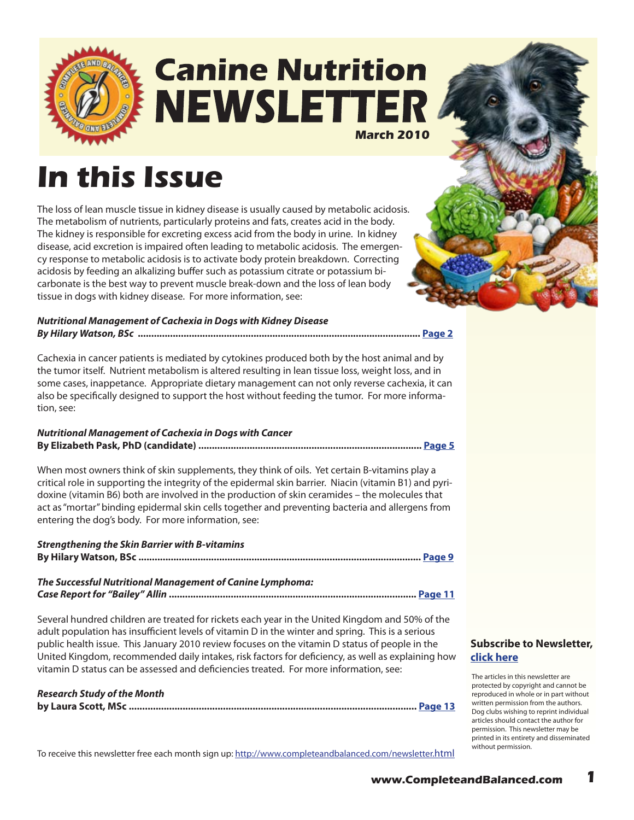

## **Canine Nutrition NEWSLETTER March 2010**

# **In this Issue**

The loss of lean muscle tissue in kidney disease is usually caused by metabolic acidosis. The metabolism of nutrients, particularly proteins and fats, creates acid in the body. The kidney is responsible for excreting excess acid from the body in urine. In kidney disease, acid excretion is impaired often leading to metabolic acidosis. The emergency response to metabolic acidosis is to activate body protein breakdown. Correcting acidosis by feeding an alkalizing buffer such as potassium citrate or potassium bicarbonate is the best way to prevent muscle break-down and the loss of lean body tissue in dogs with kidney disease. For more information, see:

#### *Nutritional Management of Cachexia in Dogs with Kidney Disease By Hilary Watson, BSc* **......................................................................................................... [Page 2](#page-1-0)**

Cachexia in cancer patients is mediated by cytokines produced both by the host animal and by the tumor itself. Nutrient metabolism is altered resulting in lean tissue loss, weight loss, and in some cases, inappetance. Appropriate dietary management can not only reverse cachexia, it can also be specifically designed to support the host without feeding the tumor. For more information, see:

#### *Nutritional Management of Cachexia in Dogs with Cancer* **By Elizabeth Pask, PhD (candidate) ................................................................................... [Page 5](#page-4-0)**

When most owners think of skin supplements, they think of oils. Yet certain B-vitamins play a critical role in supporting the integrity of the epidermal skin barrier. Niacin (vitamin B1) and pyridoxine (vitamin B6) both are involved in the production of skin ceramides – the molecules that act as "mortar" binding epidermal skin cells together and preventing bacteria and allergens from entering the dog's body. For more information, see:

#### *Strengthening the Skin Barrier with B-vitamins*  **By Hilary Watson, BSc ......................................................................................................... [Page 9](#page-8-0)**

#### *The Successful Nutritional Management of Canine Lymphoma:*

*Case Report for "Bailey" Allin* **............................................................................................ [Page 11](#page-10-0)**

Several hundred children are treated for rickets each year in the United Kingdom and 50% of the adult population has insufficient levels of vitamin D in the winter and spring. This is a serious public health issue. This January 2010 review focuses on the vitamin D status of people in the United Kingdom, recommended daily intakes, risk factors for deficiency, as well as explaining how vitamin D status can be assessed and deficiencies treated. For more information, see:

#### *Research Study of the Month*

**by Laura Scott, MSc ........................................................................................................... [Page 1](#page-12-0)3**

**[Subscribe to Newsletter,](http://ymlp.com/signup.php?id=geebeqbgmgh)  click here**

The articles in this newsletter are protected by copyright and cannot be reproduced in whole or in part without written permission from the authors. Dog clubs wishing to reprint individual articles should contact the author for permission. This newsletter may be printed in its entirety and disseminated without permission.

To receive this newsletter free each month sign up:<http://www.completeandbalanced.com/newsletter.html>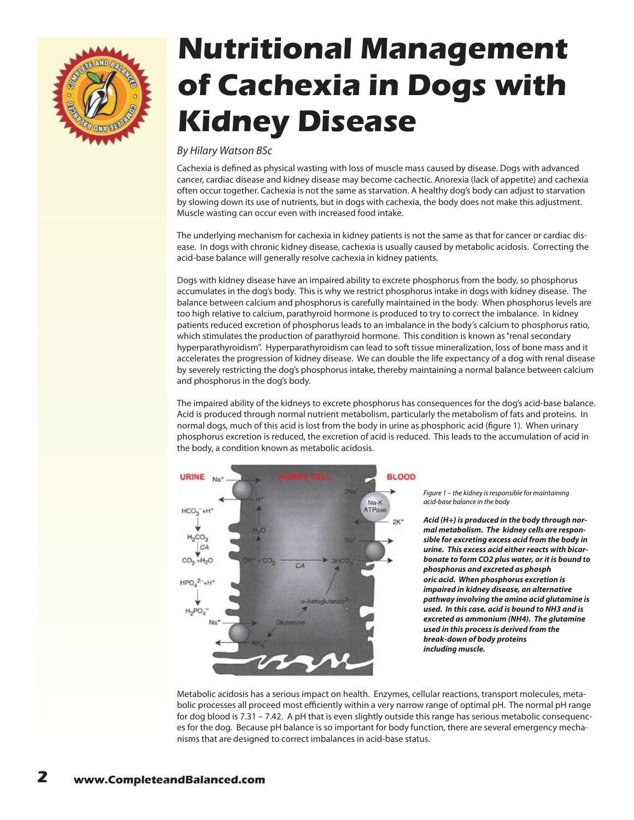<span id="page-1-0"></span>

# **Nutritional Management of Cachexia in Dogs with Kidney Disease**

#### *By Hilary Watson BSc*

Cachexia is defined as physical wasting with loss of muscle mass caused by disease. Dogs with advanced cancer, cardiac disease and kidney disease may become cachectic. Anorexia (lack of appetite) and cachexia often occur together. Cachexia is not the same as starvation. A healthy dog's body can adjust to starvation by slowing down its use of nutrients, but in dogs with cachexia, the body does not make this adjustment. Muscle wasting can occur even with increased food intake.

The underlying mechanism for cachexia in kidney patients is not the same as that for cancer or cardiac disease. In dogs with chronic kidney disease, cachexia is usually caused by metabolic acidosis. Correcting the acid-base balance will generally resolve cachexia in kidney patients.

Dogs with kidney disease have an impaired ability to excrete phosphorus from the body, so phosphorus accumulates in the dog's body. This is why we restrict phosphorus intake in dogs with kidney disease. The balance between calcium and phosphorus is carefully maintained in the body. When phosphorus levels are too high relative to calcium, parathyroid hormone is produced to try to correct the imbalance. In kidney patients reduced excretion of phosphorus leads to an imbalance in the body's calcium to phosphorus ratio, which stimulates the production of parathyroid hormone. This condition is known as "renal secondary hyperparathyroidism". Hyperparathyroidism can lead to soft tissue mineralization, loss of bone mass and it accelerates the progression of kidney disease. We can double the life expectancy of a dog with renal disease by severely restricting the dog's phosphorus intake, thereby maintaining a normal balance between calcium and phosphorus in the dog's body.

The impaired ability of the kidneys to excrete phosphorus has consequences for the dog's acid-base balance. Acid is produced through normal nutrient metabolism, particularly the metabolism of fats and proteins. In normal dogs, much of this acid is lost from the body in urine as phosphoric acid (figure 1). When urinary phosphorus excretion is reduced, the excretion of acid is reduced. This leads to the accumulation of acid in the body, a condition known as metabolic acidosis.



*Figure 1 – the kidney is responsible for maintaining acid-base balance in the body*

*Acid (H+) is produced in the body through normal metabolism. The kidney cells are responsible for excreting excess acid from the body in urine. This excess acid either reacts with bicarbonate to form CO2 plus water, or it is bound to phosphorus and excreted as phosph oric acid. When phosphorus excretion is impaired in kidney disease, an alternative pathway involving the amino acid glutamine is used. In this case, acid is bound to NH3 and is excreted as ammonium (NH4). The glutamine used in this process is derived from the break-down of body proteins including muscle.*

Metabolic acidosis has a serious impact on health. Enzymes, cellular reactions, transport molecules, metabolic processes all proceed most efficiently within a very narrow range of optimal pH. The normal pH range for dog blood is 7.31 – 7.42. A pH that is even slightly outside this range has serious metabolic consequences for the dog. Because pH balance is so important for body function, there are several emergency mechanisms that are designed to correct imbalances in acid-base status.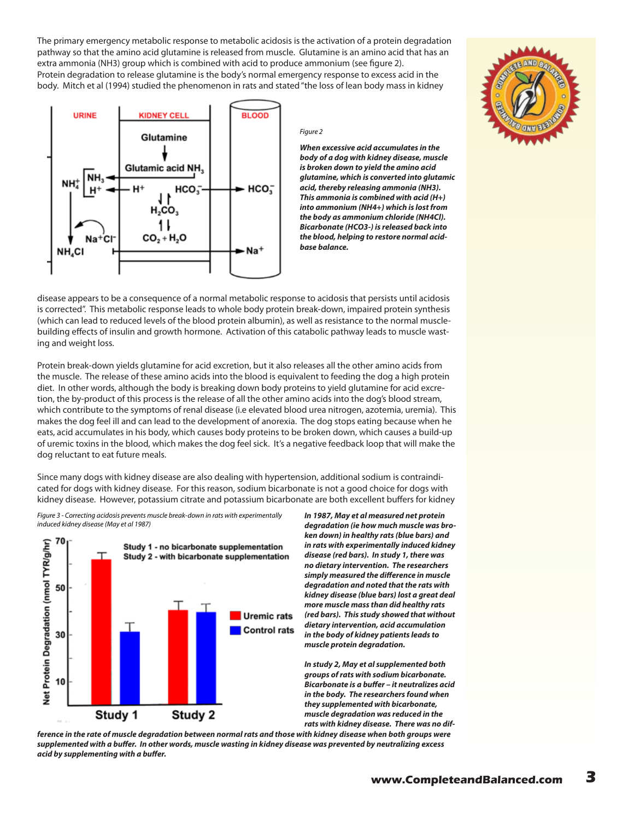The primary emergency metabolic response to metabolic acidosis is the activation of a protein degradation pathway so that the amino acid glutamine is released from muscle. Glutamine is an amino acid that has an extra ammonia (NH3) group which is combined with acid to produce ammonium (see figure 2). Protein degradation to release glutamine is the body's normal emergency response to excess acid in the body. Mitch et al (1994) studied the phenomenon in rats and stated "the loss of lean body mass in kidney



#### *Figure 2*

*When excessive acid accumulates in the body of a dog with kidney disease, muscle is broken down to yield the amino acid glutamine, which is converted into glutamic acid, thereby releasing ammonia (NH3). This ammonia is combined with acid (H+) into ammonium (NH4+) which is lost from the body as ammonium chloride (NH4Cl). Bicarbonate (HCO3-) is released back into the blood, helping to restore normal acidbase balance.*

disease appears to be a consequence of a normal metabolic response to acidosis that persists until acidosis is corrected". This metabolic response leads to whole body protein break-down, impaired protein synthesis (which can lead to reduced levels of the blood protein albumin), as well as resistance to the normal musclebuilding effects of insulin and growth hormone. Activation of this catabolic pathway leads to muscle wasting and weight loss.

Protein break-down yields glutamine for acid excretion, but it also releases all the other amino acids from the muscle. The release of these amino acids into the blood is equivalent to feeding the dog a high protein diet. In other words, although the body is breaking down body proteins to yield glutamine for acid excretion, the by-product of this process is the release of all the other amino acids into the dog's blood stream, which contribute to the symptoms of renal disease (i.e elevated blood urea nitrogen, azotemia, uremia). This makes the dog feel ill and can lead to the development of anorexia. The dog stops eating because when he eats, acid accumulates in his body, which causes body proteins to be broken down, which causes a build-up of uremic toxins in the blood, which makes the dog feel sick. It's a negative feedback loop that will make the dog reluctant to eat future meals.

Since many dogs with kidney disease are also dealing with hypertension, additional sodium is contraindicated for dogs with kidney disease. For this reason, sodium bicarbonate is not a good choice for dogs with kidney disease. However, potassium citrate and potassium bicarbonate are both excellent buffers for kidney

*Figure 3 - Correcting acidosis prevents muscle break-down in rats with experimentally induced kidney disease (May et al 1987)*



*In 1987, May et al measured net protein degradation (ie how much muscle was broken down) in healthy rats (blue bars) and in rats with experimentally induced kidney disease (red bars). In study 1, there was no dietary intervention. The researchers simply measured the difference in muscle degradation and noted that the rats with kidney disease (blue bars) lost a great deal more muscle mass than did healthy rats (red bars). This study showed that without dietary intervention, acid accumulation in the body of kidney patients leads to muscle protein degradation.* 

*In study 2, May et al supplemented both groups of rats with sodium bicarbonate. Bicarbonate is a buffer – it neutralizes acid in the body. The researchers found when they supplemented with bicarbonate, muscle degradation was reduced in the rats with kidney disease. There was no dif-*

*ference in the rate of muscle degradation between normal rats and those with kidney disease when both groups were supplemented with a buffer. In other words, muscle wasting in kidney disease was prevented by neutralizing excess acid by supplementing with a buffer.*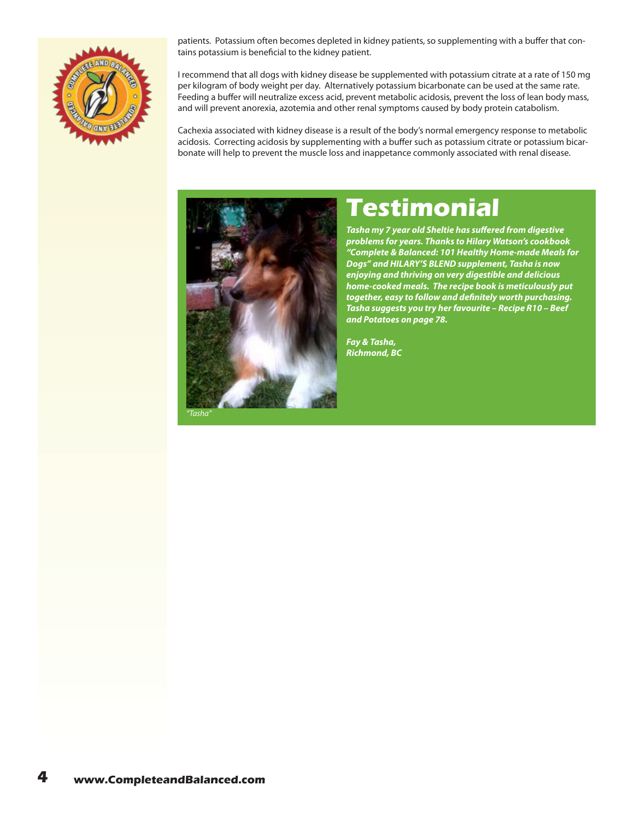

patients. Potassium often becomes depleted in kidney patients, so supplementing with a buffer that contains potassium is beneficial to the kidney patient.

I recommend that all dogs with kidney disease be supplemented with potassium citrate at a rate of 150 mg per kilogram of body weight per day. Alternatively potassium bicarbonate can be used at the same rate. Feeding a buffer will neutralize excess acid, prevent metabolic acidosis, prevent the loss of lean body mass, and will prevent anorexia, azotemia and other renal symptoms caused by body protein catabolism.

Cachexia associated with kidney disease is a result of the body's normal emergency response to metabolic acidosis. Correcting acidosis by supplementing with a buffer such as potassium citrate or potassium bicarbonate will help to prevent the muscle loss and inappetance commonly associated with renal disease.



## **Testimonial**

*Tasha my 7 year old Sheltie has suffered from digestive problems for years. Thanks to Hilary Watson's cookbook "Complete & Balanced: 101 Healthy Home-made Meals for Dogs" and HILARY'S BLEND supplement, Tasha is now enjoying and thriving on very digestible and delicious home-cooked meals. The recipe book is meticulously put together, easy to follow and definitely worth purchasing. Tasha suggests you try her favourite – Recipe R10 – Beef and Potatoes on page 78.*

*Fay & Tasha, Richmond, BC*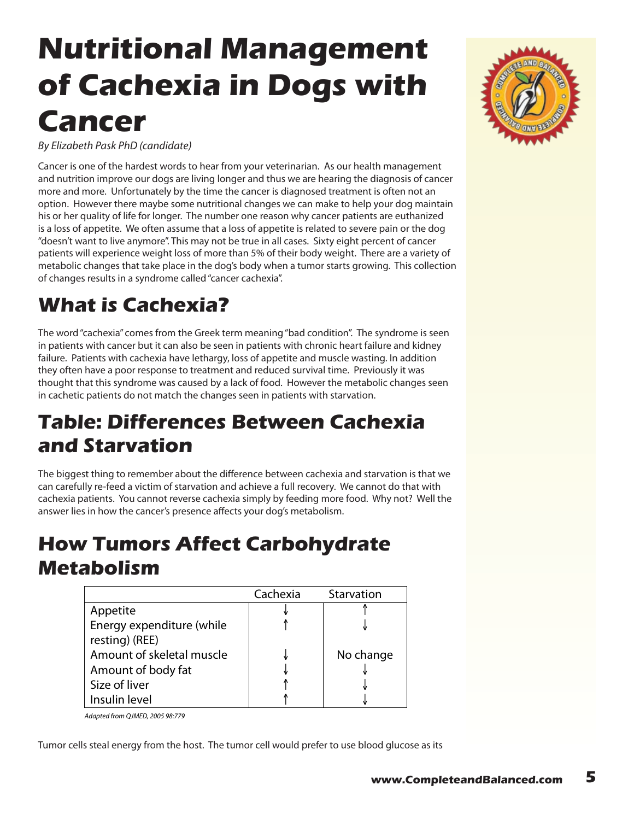# <span id="page-4-0"></span>**Nutritional Management of Cachexia in Dogs with Cancer**

*By Elizabeth Pask PhD (candidate)*

Cancer is one of the hardest words to hear from your veterinarian. As our health management and nutrition improve our dogs are living longer and thus we are hearing the diagnosis of cancer more and more. Unfortunately by the time the cancer is diagnosed treatment is often not an option. However there maybe some nutritional changes we can make to help your dog maintain his or her quality of life for longer. The number one reason why cancer patients are euthanized is a loss of appetite. We often assume that a loss of appetite is related to severe pain or the dog "doesn't want to live anymore". This may not be true in all cases. Sixty eight percent of cancer patients will experience weight loss of more than 5% of their body weight. There are a variety of metabolic changes that take place in the dog's body when a tumor starts growing. This collection of changes results in a syndrome called "cancer cachexia".

## **What is Cachexia?**

The word "cachexia" comes from the Greek term meaning "bad condition". The syndrome is seen in patients with cancer but it can also be seen in patients with chronic heart failure and kidney failure. Patients with cachexia have lethargy, loss of appetite and muscle wasting. In addition they often have a poor response to treatment and reduced survival time. Previously it was thought that this syndrome was caused by a lack of food. However the metabolic changes seen in cachetic patients do not match the changes seen in patients with starvation.

### **Table: Differences Between Cachexia and Starvation**

The biggest thing to remember about the difference between cachexia and starvation is that we can carefully re-feed a victim of starvation and achieve a full recovery. We cannot do that with cachexia patients. You cannot reverse cachexia simply by feeding more food. Why not? Well the answer lies in how the cancer's presence affects your dog's metabolism.

#### **How Tumors Affect Carbohydrate Metabolism**

|                           | Cachexia | Starvation |
|---------------------------|----------|------------|
| Appetite                  |          |            |
| Energy expenditure (while |          |            |
| resting) (REE)            |          |            |
| Amount of skeletal muscle |          | No change  |
| Amount of body fat        |          |            |
| Size of liver             |          |            |
| Insulin level             |          |            |

*Adapted from QJMED, 2005 98:779*

Tumor cells steal energy from the host. The tumor cell would prefer to use blood glucose as its

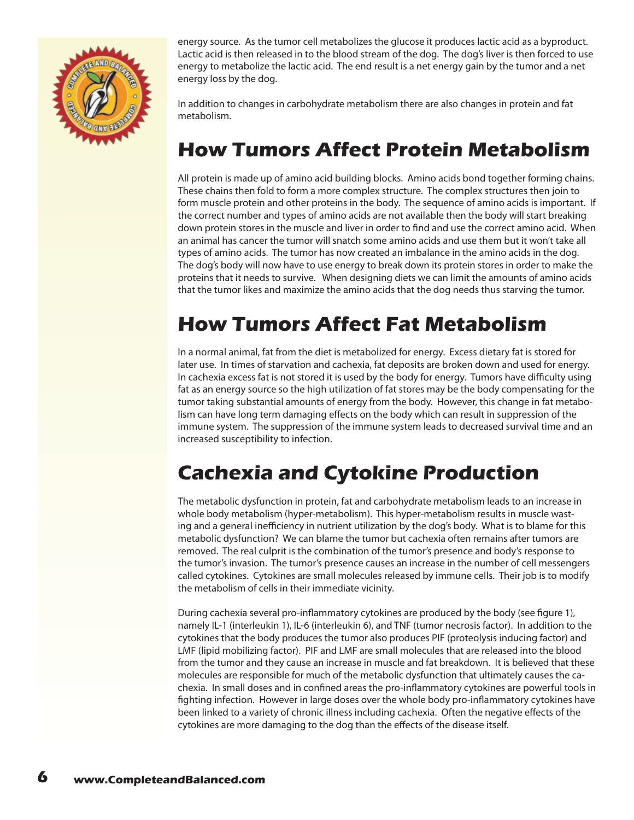

energy source. As the tumor cell metabolizes the glucose it produces lactic acid as a byproduct. Lactic acid is then released in to the blood stream of the dog. The dog's liver is then forced to use energy to metabolize the lactic acid. The end result is a net energy gain by the tumor and a net energy loss by the dog.

In addition to changes in carbohydrate metabolism there are also changes in protein and fat metabolism.

#### **How Tumors Affect Protein Metabolism**

All protein is made up of amino acid building blocks. Amino acids bond together forming chains. These chains then fold to form a more complex structure. The complex structures then join to form muscle protein and other proteins in the body. The sequence of amino acids is important. If the correct number and types of amino acids are not available then the body will start breaking down protein stores in the muscle and liver in order to find and use the correct amino acid. When an animal has cancer the tumor will snatch some amino acids and use them but it won't take all types of amino acids. The tumor has now created an imbalance in the amino acids in the dog. The dog's body will now have to use energy to break down its protein stores in order to make the proteins that it needs to survive. When designing diets we can limit the amounts of amino acids that the tumor likes and maximize the amino acids that the dog needs thus starving the tumor.

### **How Tumors Affect Fat Metabolism**

In a normal animal, fat from the diet is metabolized for energy. Excess dietary fat is stored for later use. In times of starvation and cachexia, fat deposits are broken down and used for energy. In cachexia excess fat is not stored it is used by the body for energy. Tumors have difficulty using fat as an energy source so the high utilization of fat stores may be the body compensating for the tumor taking substantial amounts of energy from the body. However, this change in fat metabolism can have long term damaging effects on the body which can result in suppression of the immune system. The suppression of the immune system leads to decreased survival time and an increased susceptibility to infection.

### **Cachexia and Cytokine Production**

The metabolic dysfunction in protein, fat and carbohydrate metabolism leads to an increase in whole body metabolism (hyper-metabolism). This hyper-metabolism results in muscle wasting and a general inefficiency in nutrient utilization by the dog's body. What is to blame for this metabolic dysfunction? We can blame the tumor but cachexia often remains after tumors are removed. The real culprit is the combination of the tumor's presence and body's response to the tumor's invasion. The tumor's presence causes an increase in the number of cell messengers called cytokines. Cytokines are small molecules released by immune cells. Their job is to modify the metabolism of cells in their immediate vicinity.

During cachexia several pro-inflammatory cytokines are produced by the body (see figure 1), namely IL-1 (interleukin 1), IL-6 (interleukin 6), and TNF (tumor necrosis factor). In addition to the cytokines that the body produces the tumor also produces PIF (proteolysis inducing factor) and LMF (lipid mobilizing factor). PIF and LMF are small molecules that are released into the blood from the tumor and they cause an increase in muscle and fat breakdown. It is believed that these molecules are responsible for much of the metabolic dysfunction that ultimately causes the cachexia. In small doses and in confined areas the pro-inflammatory cytokines are powerful tools in fighting infection. However in large doses over the whole body pro-inflammatory cytokines have been linked to a variety of chronic illness including cachexia. Often the negative effects of the cytokines are more damaging to the dog than the effects of the disease itself.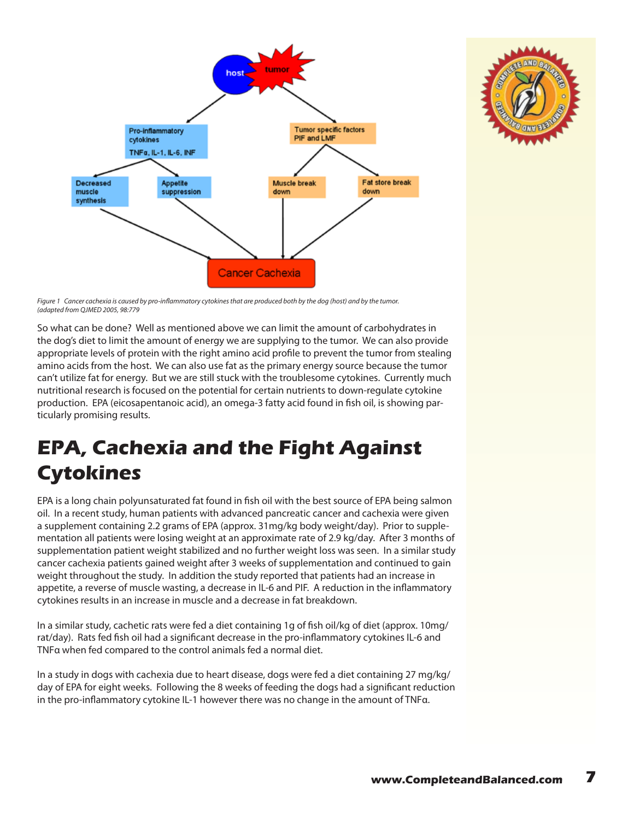



Figure 1 Cancer cachexia is caused by pro-inflammatory cytokines that are produced both by the dog (host) and by the tumor. *(adapted from QJMED 2005, 98:779*

So what can be done? Well as mentioned above we can limit the amount of carbohydrates in the dog's diet to limit the amount of energy we are supplying to the tumor. We can also provide appropriate levels of protein with the right amino acid profile to prevent the tumor from stealing amino acids from the host. We can also use fat as the primary energy source because the tumor can't utilize fat for energy. But we are still stuck with the troublesome cytokines. Currently much nutritional research is focused on the potential for certain nutrients to down-regulate cytokine production. EPA (eicosapentanoic acid), an omega-3 fatty acid found in fish oil, is showing particularly promising results.

### **EPA, Cachexia and the Fight Against Cytokines**

EPA is a long chain polyunsaturated fat found in fish oil with the best source of EPA being salmon oil. In a recent study, human patients with advanced pancreatic cancer and cachexia were given a supplement containing 2.2 grams of EPA (approx. 31mg/kg body weight/day). Prior to supplementation all patients were losing weight at an approximate rate of 2.9 kg/day. After 3 months of supplementation patient weight stabilized and no further weight loss was seen. In a similar study cancer cachexia patients gained weight after 3 weeks of supplementation and continued to gain weight throughout the study. In addition the study reported that patients had an increase in appetite, a reverse of muscle wasting, a decrease in IL-6 and PIF. A reduction in the inflammatory cytokines results in an increase in muscle and a decrease in fat breakdown.

In a similar study, cachetic rats were fed a diet containing 1g of fish oil/kg of diet (approx. 10mg/ rat/day). Rats fed fish oil had a significant decrease in the pro-inflammatory cytokines IL-6 and TNFα when fed compared to the control animals fed a normal diet.

In a study in dogs with cachexia due to heart disease, dogs were fed a diet containing 27 mg/kg/ day of EPA for eight weeks. Following the 8 weeks of feeding the dogs had a significant reduction in the pro-inflammatory cytokine IL-1 however there was no change in the amount of TNFα.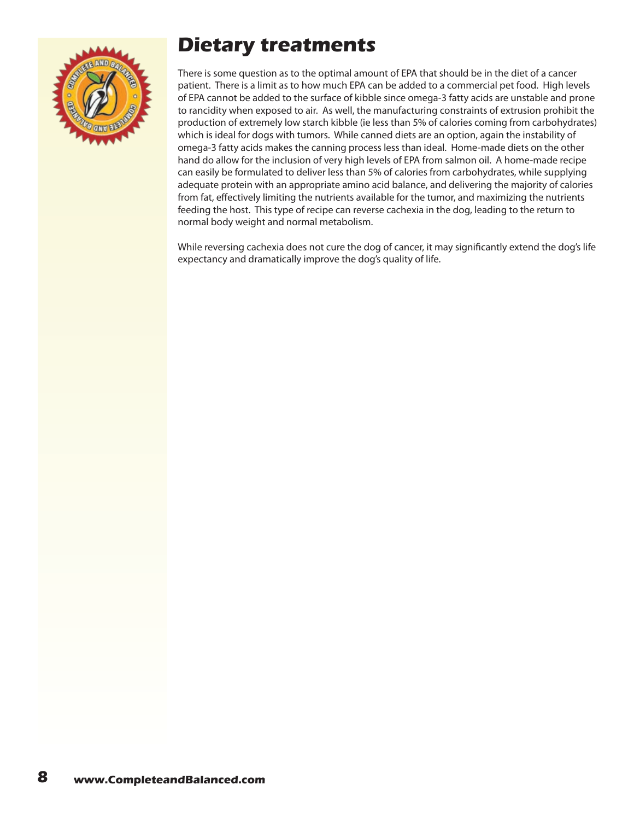

### **Dietary treatments**

There is some question as to the optimal amount of EPA that should be in the diet of a cancer patient. There is a limit as to how much EPA can be added to a commercial pet food. High levels of EPA cannot be added to the surface of kibble since omega-3 fatty acids are unstable and prone to rancidity when exposed to air. As well, the manufacturing constraints of extrusion prohibit the production of extremely low starch kibble (ie less than 5% of calories coming from carbohydrates) which is ideal for dogs with tumors. While canned diets are an option, again the instability of omega-3 fatty acids makes the canning process less than ideal. Home-made diets on the other hand do allow for the inclusion of very high levels of EPA from salmon oil. A home-made recipe can easily be formulated to deliver less than 5% of calories from carbohydrates, while supplying adequate protein with an appropriate amino acid balance, and delivering the majority of calories from fat, effectively limiting the nutrients available for the tumor, and maximizing the nutrients feeding the host. This type of recipe can reverse cachexia in the dog, leading to the return to normal body weight and normal metabolism.

While reversing cachexia does not cure the dog of cancer, it may significantly extend the dog's life expectancy and dramatically improve the dog's quality of life.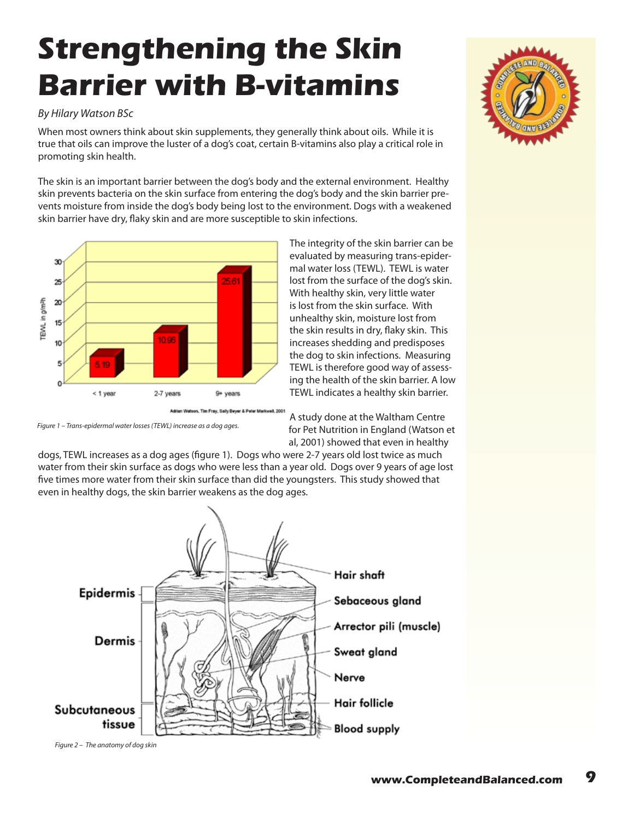# <span id="page-8-0"></span>**Strengthening the Skin Barrier with B-vitamins**

#### *By Hilary Watson BSc*

When most owners think about skin supplements, they generally think about oils. While it is true that oils can improve the luster of a dog's coat, certain B-vitamins also play a critical role in promoting skin health.

The skin is an important barrier between the dog's body and the external environment. Healthy skin prevents bacteria on the skin surface from entering the dog's body and the skin barrier prevents moisture from inside the dog's body being lost to the environment. Dogs with a weakened skin barrier have dry, flaky skin and are more susceptible to skin infections.



The integrity of the skin barrier can be evaluated by measuring trans-epidermal water loss (TEWL). TEWL is water lost from the surface of the dog's skin. With healthy skin, very little water is lost from the skin surface. With unhealthy skin, moisture lost from the skin results in dry, flaky skin. This increases shedding and predisposes the dog to skin infections. Measuring TEWL is therefore good way of assessing the health of the skin barrier. A low TEWL indicates a healthy skin barrier.

*Figure 1 – Trans-epidermal water losses (TEWL) increase as a dog ages.*

A study done at the Waltham Centre for Pet Nutrition in England (Watson et al, 2001) showed that even in healthy

dogs, TEWL increases as a dog ages (figure 1). Dogs who were 2-7 years old lost twice as much water from their skin surface as dogs who were less than a year old. Dogs over 9 years of age lost five times more water from their skin surface than did the youngsters. This study showed that even in healthy dogs, the skin barrier weakens as the dog ages.

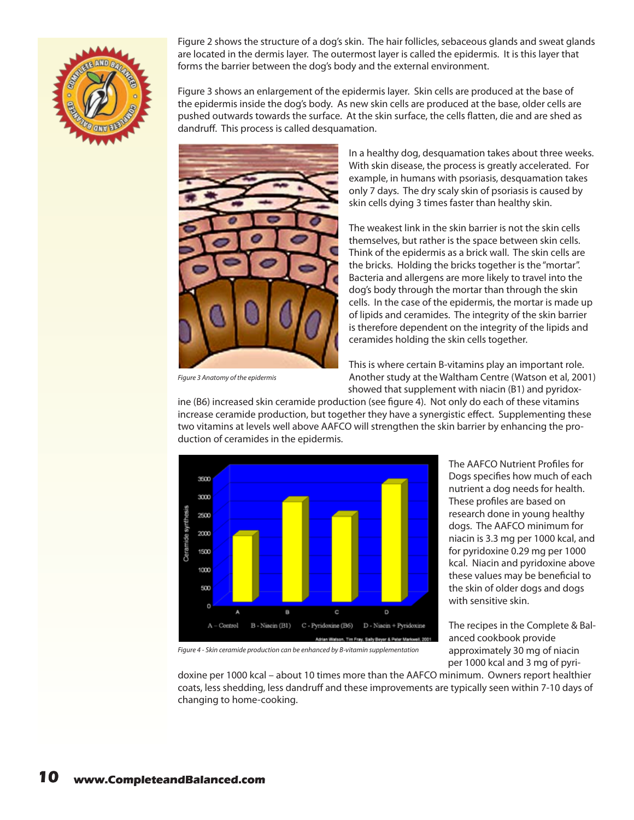

Figure 2 shows the structure of a dog's skin. The hair follicles, sebaceous glands and sweat glands are located in the dermis layer. The outermost layer is called the epidermis. It is this layer that forms the barrier between the dog's body and the external environment.

Figure 3 shows an enlargement of the epidermis layer. Skin cells are produced at the base of the epidermis inside the dog's body. As new skin cells are produced at the base, older cells are pushed outwards towards the surface. At the skin surface, the cells flatten, die and are shed as dandruff. This process is called desquamation.



*Figure 3 Anatomy of the epidermis*

In a healthy dog, desquamation takes about three weeks. With skin disease, the process is greatly accelerated. For example, in humans with psoriasis, desquamation takes only 7 days. The dry scaly skin of psoriasis is caused by skin cells dying 3 times faster than healthy skin.

The weakest link in the skin barrier is not the skin cells themselves, but rather is the space between skin cells. Think of the epidermis as a brick wall. The skin cells are the bricks. Holding the bricks together is the "mortar". Bacteria and allergens are more likely to travel into the dog's body through the mortar than through the skin cells. In the case of the epidermis, the mortar is made up of lipids and ceramides. The integrity of the skin barrier is therefore dependent on the integrity of the lipids and ceramides holding the skin cells together.

This is where certain B-vitamins play an important role. Another study at the Waltham Centre (Watson et al, 2001) showed that supplement with niacin (B1) and pyridox-

ine (B6) increased skin ceramide production (see figure 4). Not only do each of these vitamins increase ceramide production, but together they have a synergistic effect. Supplementing these two vitamins at levels well above AAFCO will strengthen the skin barrier by enhancing the production of ceramides in the epidermis.



The AAFCO Nutrient Profiles for Dogs specifies how much of each nutrient a dog needs for health. These profiles are based on research done in young healthy dogs. The AAFCO minimum for niacin is 3.3 mg per 1000 kcal, and for pyridoxine 0.29 mg per 1000 kcal. Niacin and pyridoxine above these values may be beneficial to the skin of older dogs and dogs with sensitive skin.

The recipes in the Complete & Balanced cookbook provide approximately 30 mg of niacin per 1000 kcal and 3 mg of pyri-

*Figure 4 - Skin ceramide production can be enhanced by B-vitamin supplementation*

doxine per 1000 kcal – about 10 times more than the AAFCO minimum. Owners report healthier coats, less shedding, less dandruff and these improvements are typically seen within 7-10 days of changing to home-cooking.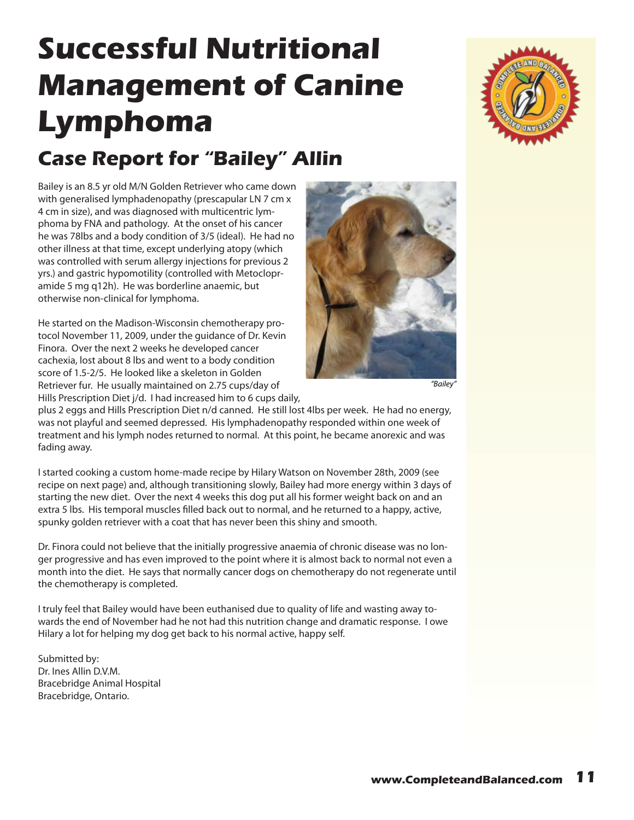# <span id="page-10-0"></span>**Successful Nutritional Management of Canine Lymphoma**

### **Case Report for "Bailey" Allin**

Bailey is an 8.5 yr old M/N Golden Retriever who came down with generalised lymphadenopathy (prescapular LN 7 cm x 4 cm in size), and was diagnosed with multicentric lymphoma by FNA and pathology. At the onset of his cancer he was 78lbs and a body condition of 3/5 (ideal). He had no other illness at that time, except underlying atopy (which was controlled with serum allergy injections for previous 2 yrs.) and gastric hypomotility (controlled with Metoclopramide 5 mg q12h). He was borderline anaemic, but otherwise non-clinical for lymphoma.

He started on the Madison-Wisconsin chemotherapy protocol November 11, 2009, under the guidance of Dr. Kevin Finora. Over the next 2 weeks he developed cancer cachexia, lost about 8 lbs and went to a body condition score of 1.5-2/5. He looked like a skeleton in Golden Retriever fur. He usually maintained on 2.75 cups/day of Hills Prescription Diet j/d. I had increased him to 6 cups daily,



*"Bailey"*

plus 2 eggs and Hills Prescription Diet n/d canned. He still lost 4lbs per week. He had no energy, was not playful and seemed depressed. His lymphadenopathy responded within one week of treatment and his lymph nodes returned to normal. At this point, he became anorexic and was fading away.

I started cooking a custom home-made recipe by Hilary Watson on November 28th, 2009 (see recipe on next page) and, although transitioning slowly, Bailey had more energy within 3 days of starting the new diet. Over the next 4 weeks this dog put all his former weight back on and an extra 5 lbs. His temporal muscles filled back out to normal, and he returned to a happy, active, spunky golden retriever with a coat that has never been this shiny and smooth.

Dr. Finora could not believe that the initially progressive anaemia of chronic disease was no longer progressive and has even improved to the point where it is almost back to normal not even a month into the diet. He says that normally cancer dogs on chemotherapy do not regenerate until the chemotherapy is completed.

I truly feel that Bailey would have been euthanised due to quality of life and wasting away towards the end of November had he not had this nutrition change and dramatic response. I owe Hilary a lot for helping my dog get back to his normal active, happy self.

Submitted by: Dr. Ines Allin D.V.M. Bracebridge Animal Hospital Bracebridge, Ontario.

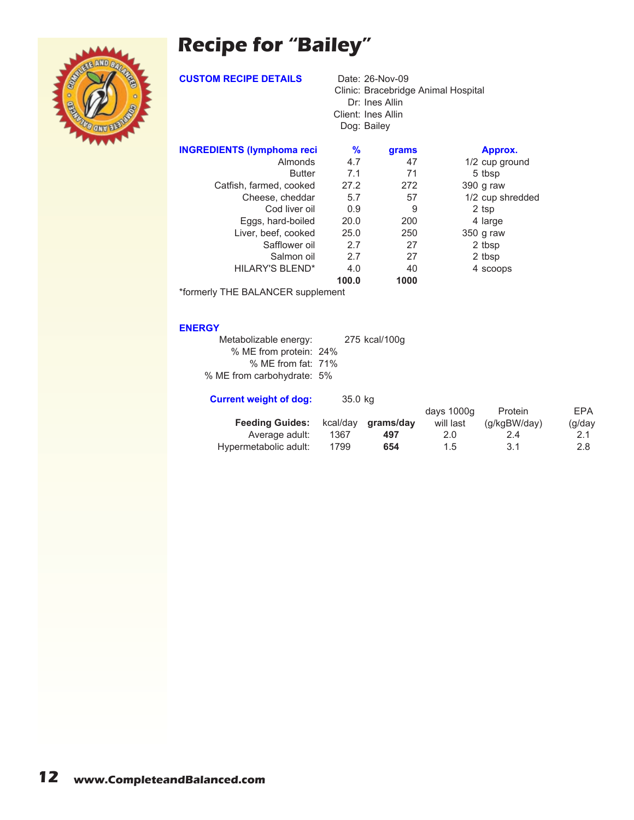### **Recipe for "Bailey"**



**CUSTOM RECIPE DETAILS** Date: 26-Nov-09

Clinic: Bracebridge Animal Hospital Dr: Ines Allin Client: Ines Allin Dog: Bailey

| <b>INGREDIENTS (lymphoma reci</b> | %     | grams | Approx.          |  |
|-----------------------------------|-------|-------|------------------|--|
| Almonds                           | 4.7   | 47    | 1/2 cup ground   |  |
| <b>Butter</b>                     | 7.1   | 71    | 5 tbsp           |  |
| Catfish, farmed, cooked           | 27.2  | 272   | 390 g raw        |  |
| Cheese, cheddar                   | 5.7   | 57    | 1/2 cup shredded |  |
| Cod liver oil                     | 0.9   | 9     | 2 tsp            |  |
| Eggs, hard-boiled                 | 20.0  | 200   | 4 large          |  |
| Liver, beef, cooked               | 25.0  | 250   | 350 g raw        |  |
| Safflower oil                     | 2.7   | 27    | 2 tbsp           |  |
| Salmon oil                        | 2.7   | 27    | 2 tbsp           |  |
| <b>HILARY'S BLEND*</b>            | 4.0   | 40    | 4 scoops         |  |
|                                   | 100.0 | 1000  |                  |  |

\*formerly THE BALANCER supplement

#### **ENERGY**

| Metabolizable energy:      | 275 kcal/100g |
|----------------------------|---------------|
| % ME from protein: 24%     |               |
| % ME from fat: 71%         |               |
| % ME from carbohydrate: 5% |               |

| <b>Current weight of dog:</b> | 35.0 kg  |           |            |              |            |
|-------------------------------|----------|-----------|------------|--------------|------------|
|                               |          |           | days 1000g | Protein      | <b>FPA</b> |
| <b>Feeding Guides:</b>        | kcal/day | arams/day | will last  | (q/kgBW/day) | (g/day     |
| Average adult:                | 1367     | 497       | 2.0        | 24           | 2.1        |
| Hypermetabolic adult:         | 1799     | 654       | 1.5        | 3.1          | 2.8        |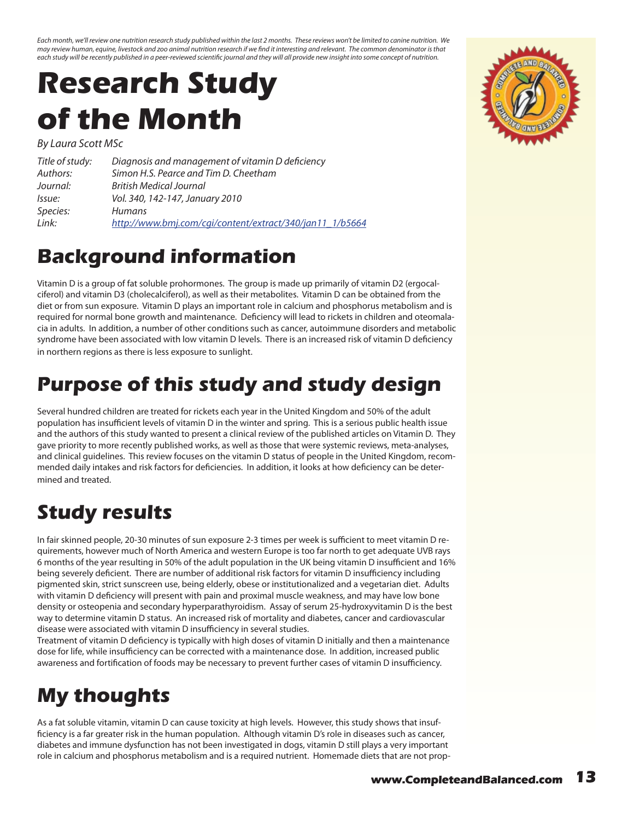<span id="page-12-0"></span>*Each month, we'll review one nutrition research study published within the last 2 months. These reviews won't be limited to canine nutrition. We may review human, equine, livestock and zoo animal nutrition research if we find it interesting and relevant. The common denominator is that*  each study will be recently published in a peer-reviewed scientific journal and they will all provide new insight into some concept of nutrition.

# **Research Study of the Month**

*By Laura Scott MSc*

| Title of study: | Diagnosis and management of vitamin D deficiency         |
|-----------------|----------------------------------------------------------|
| Authors:        | Simon H.S. Pearce and Tim D. Cheetham                    |
| Journal:        | <b>British Medical Journal</b>                           |
| <i>Issue:</i>   | Vol. 340, 142-147, January 2010                          |
| Species:        | <b>Humans</b>                                            |
| Link:           | http://www.bmj.com/cqi/content/extract/340/jan11_1/b5664 |

#### **Background information**

Vitamin D is a group of fat soluble prohormones. The group is made up primarily of vitamin D2 (ergocalciferol) and vitamin D3 (cholecalciferol), as well as their metabolites. Vitamin D can be obtained from the diet or from sun exposure. Vitamin D plays an important role in calcium and phosphorus metabolism and is required for normal bone growth and maintenance. Deficiency will lead to rickets in children and oteomalacia in adults. In addition, a number of other conditions such as cancer, autoimmune disorders and metabolic syndrome have been associated with low vitamin D levels. There is an increased risk of vitamin D deficiency in northern regions as there is less exposure to sunlight.

#### **Purpose of this study and study design**

Several hundred children are treated for rickets each year in the United Kingdom and 50% of the adult population has insufficient levels of vitamin D in the winter and spring. This is a serious public health issue and the authors of this study wanted to present a clinical review of the published articles on Vitamin D. They gave priority to more recently published works, as well as those that were systemic reviews, meta-analyses, and clinical guidelines. This review focuses on the vitamin D status of people in the United Kingdom, recommended daily intakes and risk factors for deficiencies. In addition, it looks at how deficiency can be determined and treated.

## **Study results**

In fair skinned people, 20-30 minutes of sun exposure 2-3 times per week is sufficient to meet vitamin D requirements, however much of North America and western Europe is too far north to get adequate UVB rays 6 months of the year resulting in 50% of the adult population in the UK being vitamin D insufficient and 16% being severely deficient. There are number of additional risk factors for vitamin D insufficiency including pigmented skin, strict sunscreen use, being elderly, obese or institutionalized and a vegetarian diet. Adults with vitamin D deficiency will present with pain and proximal muscle weakness, and may have low bone density or osteopenia and secondary hyperparathyroidism. Assay of serum 25-hydroxyvitamin D is the best way to determine vitamin D status. An increased risk of mortality and diabetes, cancer and cardiovascular disease were associated with vitamin D insufficiency in several studies.

Treatment of vitamin D deficiency is typically with high doses of vitamin D initially and then a maintenance dose for life, while insufficiency can be corrected with a maintenance dose. In addition, increased public awareness and fortification of foods may be necessary to prevent further cases of vitamin D insufficiency.

## **My thoughts**

As a fat soluble vitamin, vitamin D can cause toxicity at high levels. However, this study shows that insufficiency is a far greater risk in the human population. Although vitamin D's role in diseases such as cancer, diabetes and immune dysfunction has not been investigated in dogs, vitamin D still plays a very important role in calcium and phosphorus metabolism and is a required nutrient. Homemade diets that are not prop-